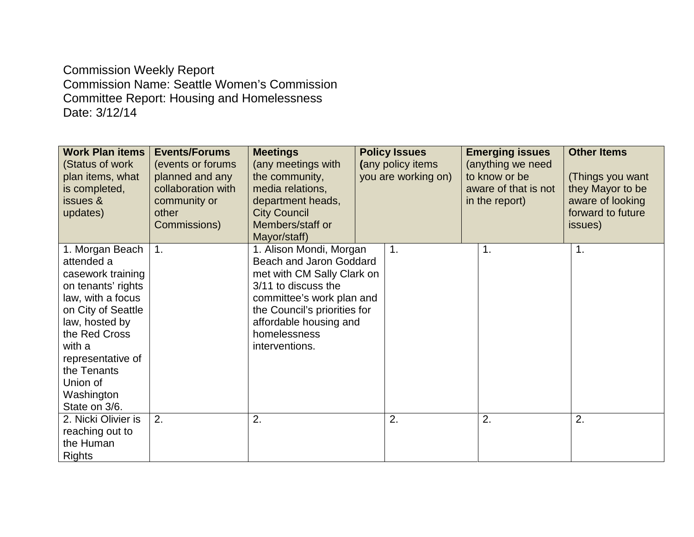Commission Weekly Report Commission Name: Seattle Women's Commission Committee Report: Housing and Homelessness Date: 3/12/14

| <b>Work Plan items</b><br>(Status of work<br>plan items, what<br>is completed,<br>issues &<br>updates)                                                                                                                                          | <b>Events/Forums</b><br>(events or forums)<br>planned and any<br>collaboration with<br>community or<br>other<br>Commissions) | <b>Meetings</b><br>(any meetings with<br>the community,<br>media relations,<br>department heads,<br><b>City Council</b><br>Members/staff or<br>Mayor/staff)                                                                      | <b>Policy Issues</b><br>(any policy items<br>you are working on) | <b>Emerging issues</b><br>(anything we need<br>to know or be<br>aware of that is not<br>in the report) | <b>Other Items</b><br>(Things you want<br>they Mayor to be<br>aware of looking<br>forward to future<br>issues) |
|-------------------------------------------------------------------------------------------------------------------------------------------------------------------------------------------------------------------------------------------------|------------------------------------------------------------------------------------------------------------------------------|----------------------------------------------------------------------------------------------------------------------------------------------------------------------------------------------------------------------------------|------------------------------------------------------------------|--------------------------------------------------------------------------------------------------------|----------------------------------------------------------------------------------------------------------------|
| 1. Morgan Beach<br>attended a<br>casework training<br>on tenants' rights<br>law, with a focus<br>on City of Seattle<br>law, hosted by<br>the Red Cross<br>with a<br>representative of<br>the Tenants<br>Union of<br>Washington<br>State on 3/6. | $\mathbf{1}$ .                                                                                                               | 1. Alison Mondi, Morgan<br>Beach and Jaron Goddard<br>met with CM Sally Clark on<br>3/11 to discuss the<br>committee's work plan and<br>the Council's priorities for<br>affordable housing and<br>homelessness<br>interventions. | 1.                                                               | $\mathbf 1$                                                                                            | 1.                                                                                                             |
| 2. Nicki Olivier is<br>reaching out to<br>the Human<br><b>Rights</b>                                                                                                                                                                            | 2.                                                                                                                           | 2.                                                                                                                                                                                                                               | 2.                                                               | 2.                                                                                                     | 2.                                                                                                             |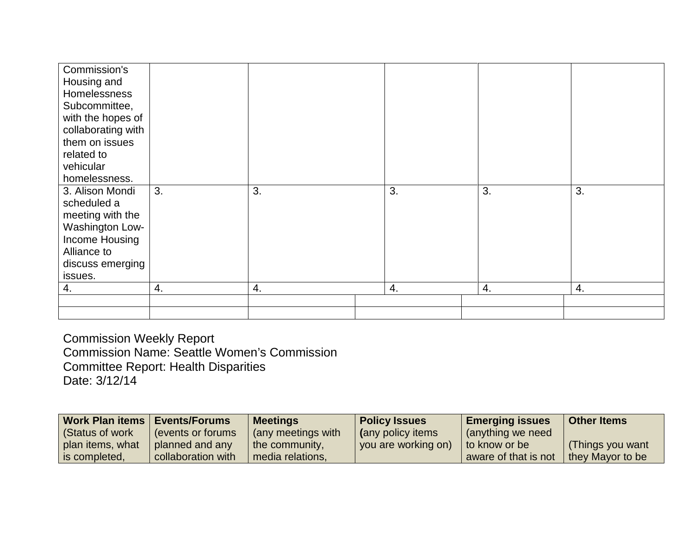| Commission's       |    |    |    |    |    |
|--------------------|----|----|----|----|----|
| Housing and        |    |    |    |    |    |
| Homelessness       |    |    |    |    |    |
| Subcommittee,      |    |    |    |    |    |
| with the hopes of  |    |    |    |    |    |
| collaborating with |    |    |    |    |    |
| them on issues     |    |    |    |    |    |
| related to         |    |    |    |    |    |
| vehicular          |    |    |    |    |    |
| homelessness.      |    |    |    |    |    |
| 3. Alison Mondi    | 3. | 3. | 3. | 3. | 3. |
| scheduled a        |    |    |    |    |    |
| meeting with the   |    |    |    |    |    |
| Washington Low-    |    |    |    |    |    |
| Income Housing     |    |    |    |    |    |
| Alliance to        |    |    |    |    |    |
| discuss emerging   |    |    |    |    |    |
| issues.            |    |    |    |    |    |
| 4.                 | 4. | 4. | 4. | 4. | 4. |
|                    |    |    |    |    |    |
|                    |    |    |    |    |    |

Commission Weekly Report Commission Name: Seattle Women's Commission Committee Report: Health Disparities Date: 3/12/14

| Work Plan items   Events/Forums |                    | <b>Meetings</b>    | <b>Policy Issues</b> | <b>Emerging issues</b> | <b>Other Items</b> |
|---------------------------------|--------------------|--------------------|----------------------|------------------------|--------------------|
| (Status of work)                | events or forums   | (any meetings with | (any policy items    | (anything we need      |                    |
| plan items, what                | planned and any    | the community,     | you are working on)  | to know or be          | (Things you want   |
| is completed,                   | collaboration with | media relations,   |                      | aware of that is not   | they Mayor to be   |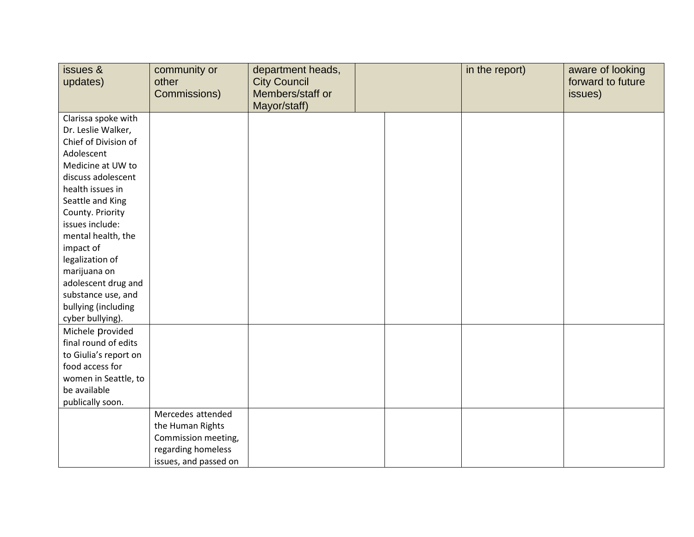| issues &<br>updates)  | community or<br>other<br>Commissions) | department heads,<br><b>City Council</b><br>Members/staff or | in the report) | aware of looking<br>forward to future<br>issues) |
|-----------------------|---------------------------------------|--------------------------------------------------------------|----------------|--------------------------------------------------|
|                       |                                       | Mayor/staff)                                                 |                |                                                  |
| Clarissa spoke with   |                                       |                                                              |                |                                                  |
| Dr. Leslie Walker,    |                                       |                                                              |                |                                                  |
| Chief of Division of  |                                       |                                                              |                |                                                  |
| Adolescent            |                                       |                                                              |                |                                                  |
| Medicine at UW to     |                                       |                                                              |                |                                                  |
| discuss adolescent    |                                       |                                                              |                |                                                  |
| health issues in      |                                       |                                                              |                |                                                  |
| Seattle and King      |                                       |                                                              |                |                                                  |
| County. Priority      |                                       |                                                              |                |                                                  |
| issues include:       |                                       |                                                              |                |                                                  |
| mental health, the    |                                       |                                                              |                |                                                  |
| impact of             |                                       |                                                              |                |                                                  |
| legalization of       |                                       |                                                              |                |                                                  |
| marijuana on          |                                       |                                                              |                |                                                  |
| adolescent drug and   |                                       |                                                              |                |                                                  |
| substance use, and    |                                       |                                                              |                |                                                  |
| bullying (including   |                                       |                                                              |                |                                                  |
| cyber bullying).      |                                       |                                                              |                |                                                  |
| Michele provided      |                                       |                                                              |                |                                                  |
| final round of edits  |                                       |                                                              |                |                                                  |
| to Giulia's report on |                                       |                                                              |                |                                                  |
| food access for       |                                       |                                                              |                |                                                  |
| women in Seattle, to  |                                       |                                                              |                |                                                  |
| be available          |                                       |                                                              |                |                                                  |
| publically soon.      |                                       |                                                              |                |                                                  |
|                       | Mercedes attended                     |                                                              |                |                                                  |
|                       | the Human Rights                      |                                                              |                |                                                  |
|                       | Commission meeting,                   |                                                              |                |                                                  |
|                       | regarding homeless                    |                                                              |                |                                                  |
|                       | issues, and passed on                 |                                                              |                |                                                  |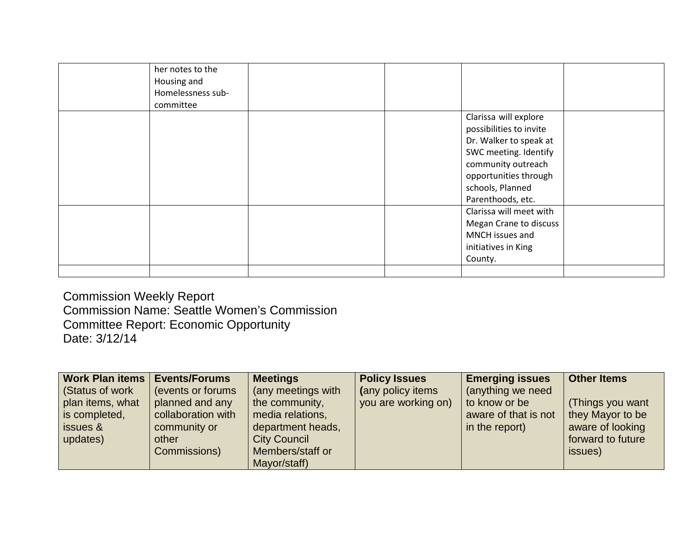| committee |                                                                                                                                                                                             |
|-----------|---------------------------------------------------------------------------------------------------------------------------------------------------------------------------------------------|
|           | Clarissa will explore<br>possibilities to invite<br>Dr. Walker to speak at<br>SWC meeting. Identify<br>community outreach<br>opportunities through<br>schools, Planned<br>Parenthoods, etc. |
|           | Clarissa will meet with<br>Megan Crane to discuss<br>MNCH issues and<br>initiatives in King<br>County.                                                                                      |

Commission Weekly Report Commission Name: Seattle Women's Commission Committee Report: Economic Opportunity Date: 3/12/14

| Work Plan items       | <b>Events/Forums</b> | <b>Meetings</b>     | <b>Policy Issues</b> | <b>Emerging issues</b> | <b>Other Items</b> |
|-----------------------|----------------------|---------------------|----------------------|------------------------|--------------------|
| <b>Status of work</b> | (events or forums)   | (any meetings with  | (any policy items    | (anything we need      |                    |
| plan items, what      | planned and any      | the community,      | you are working on)  | to know or be          | (Things you want   |
| is completed,         | collaboration with   | media relations,    |                      | aware of that is not   | they Mayor to be   |
| issues &              | community or         | department heads,   |                      | in the report)         | aware of looking   |
| updates)              | other                | <b>City Council</b> |                      |                        | forward to future  |
|                       | Commissions)         | Members/staff or    |                      |                        | issues)            |
|                       |                      | Mayor/staff)        |                      |                        |                    |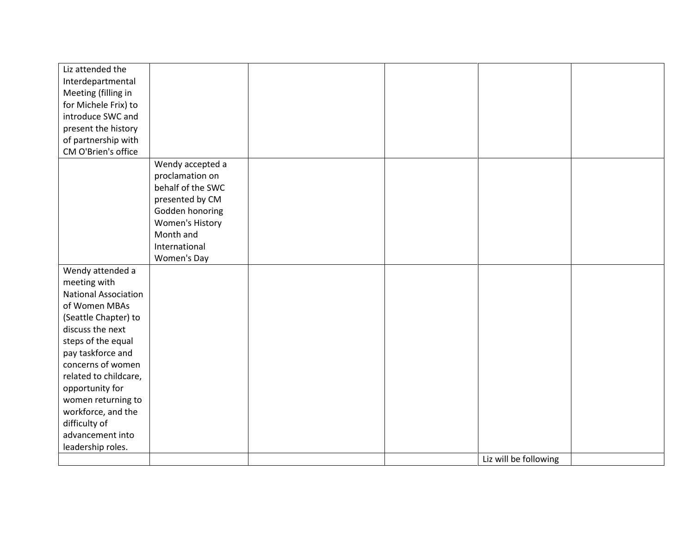| Liz attended the            |                   |  |                       |  |
|-----------------------------|-------------------|--|-----------------------|--|
| Interdepartmental           |                   |  |                       |  |
| Meeting (filling in         |                   |  |                       |  |
| for Michele Frix) to        |                   |  |                       |  |
| introduce SWC and           |                   |  |                       |  |
| present the history         |                   |  |                       |  |
| of partnership with         |                   |  |                       |  |
| CM O'Brien's office         |                   |  |                       |  |
|                             | Wendy accepted a  |  |                       |  |
|                             | proclamation on   |  |                       |  |
|                             | behalf of the SWC |  |                       |  |
|                             | presented by CM   |  |                       |  |
|                             | Godden honoring   |  |                       |  |
|                             | Women's History   |  |                       |  |
|                             | Month and         |  |                       |  |
|                             | International     |  |                       |  |
|                             | Women's Day       |  |                       |  |
| Wendy attended a            |                   |  |                       |  |
| meeting with                |                   |  |                       |  |
| <b>National Association</b> |                   |  |                       |  |
| of Women MBAs               |                   |  |                       |  |
| (Seattle Chapter) to        |                   |  |                       |  |
| discuss the next            |                   |  |                       |  |
| steps of the equal          |                   |  |                       |  |
| pay taskforce and           |                   |  |                       |  |
| concerns of women           |                   |  |                       |  |
| related to childcare,       |                   |  |                       |  |
| opportunity for             |                   |  |                       |  |
| women returning to          |                   |  |                       |  |
| workforce, and the          |                   |  |                       |  |
| difficulty of               |                   |  |                       |  |
| advancement into            |                   |  |                       |  |
| leadership roles.           |                   |  |                       |  |
|                             |                   |  | Liz will be following |  |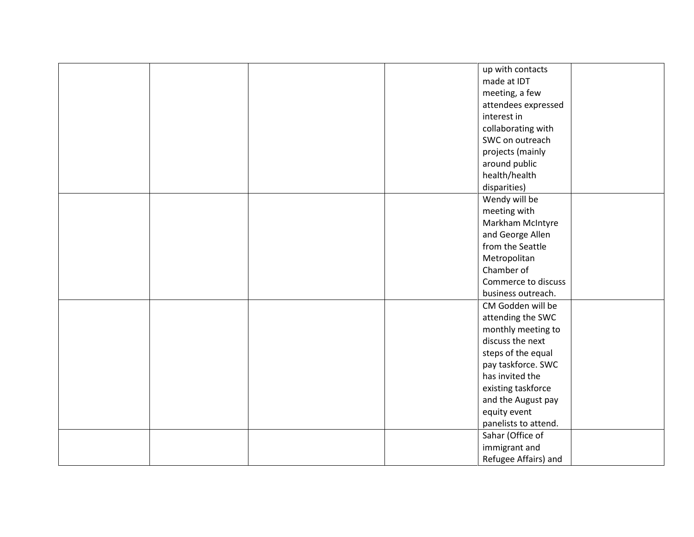|  | up with contacts     |
|--|----------------------|
|  | made at IDT          |
|  | meeting, a few       |
|  | attendees expressed  |
|  | interest in          |
|  | collaborating with   |
|  | SWC on outreach      |
|  | projects (mainly     |
|  |                      |
|  | around public        |
|  | health/health        |
|  | disparities)         |
|  | Wendy will be        |
|  | meeting with         |
|  | Markham McIntyre     |
|  | and George Allen     |
|  | from the Seattle     |
|  | Metropolitan         |
|  | Chamber of           |
|  | Commerce to discuss  |
|  | business outreach.   |
|  | CM Godden will be    |
|  | attending the SWC    |
|  | monthly meeting to   |
|  | discuss the next     |
|  | steps of the equal   |
|  | pay taskforce. SWC   |
|  | has invited the      |
|  | existing taskforce   |
|  | and the August pay   |
|  | equity event         |
|  | panelists to attend. |
|  | Sahar (Office of     |
|  | immigrant and        |
|  | Refugee Affairs) and |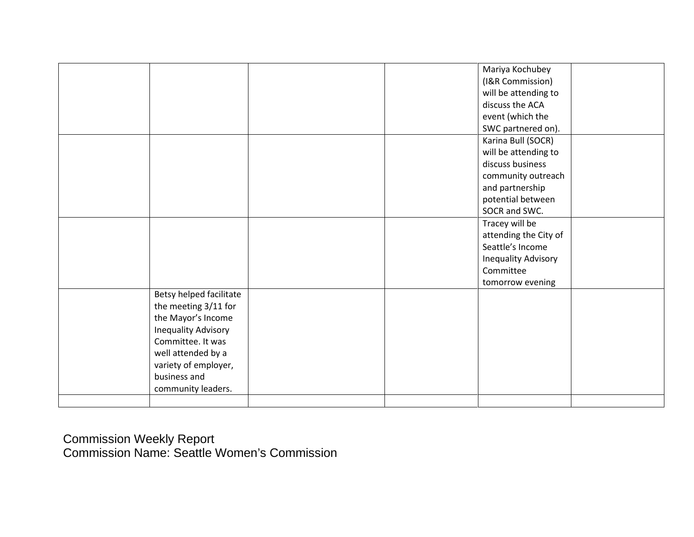|                            |  | Mariya Kochubey       |  |
|----------------------------|--|-----------------------|--|
|                            |  | (I&R Commission)      |  |
|                            |  | will be attending to  |  |
|                            |  |                       |  |
|                            |  | discuss the ACA       |  |
|                            |  | event (which the      |  |
|                            |  | SWC partnered on).    |  |
|                            |  | Karina Bull (SOCR)    |  |
|                            |  | will be attending to  |  |
|                            |  | discuss business      |  |
|                            |  | community outreach    |  |
|                            |  | and partnership       |  |
|                            |  | potential between     |  |
|                            |  | SOCR and SWC.         |  |
|                            |  | Tracey will be        |  |
|                            |  | attending the City of |  |
|                            |  | Seattle's Income      |  |
|                            |  | Inequality Advisory   |  |
|                            |  | Committee             |  |
|                            |  |                       |  |
|                            |  | tomorrow evening      |  |
| Betsy helped facilitate    |  |                       |  |
| the meeting 3/11 for       |  |                       |  |
| the Mayor's Income         |  |                       |  |
| <b>Inequality Advisory</b> |  |                       |  |
| Committee. It was          |  |                       |  |
| well attended by a         |  |                       |  |
| variety of employer,       |  |                       |  |
| business and               |  |                       |  |
| community leaders.         |  |                       |  |
|                            |  |                       |  |
|                            |  |                       |  |

Commission Weekly Report Commission Name: Seattle Women's Commission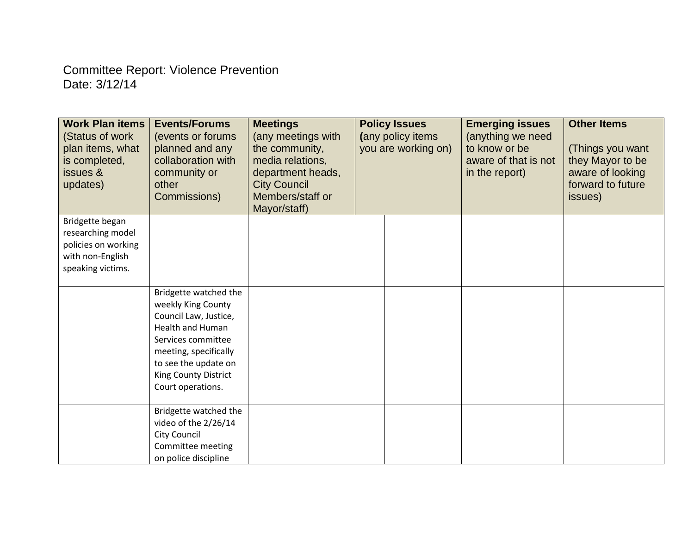## Committee Report: Violence Prevention Date: 3/12/14

| <b>Work Plan items</b><br>(Status of work<br>plan items, what<br>is completed,<br>issues &<br>updates) | <b>Events/Forums</b><br>(events or forums)<br>planned and any<br>collaboration with<br>community or<br>other<br>Commissions)                                                                                 | <b>Meetings</b><br>(any meetings with<br>the community,<br>media relations,<br>department heads,<br><b>City Council</b><br>Members/staff or<br>Mayor/staff) | <b>Policy Issues</b><br>(any policy items<br>you are working on) |  | <b>Emerging issues</b><br>(anything we need<br>to know or be<br>aware of that is not<br>in the report) | <b>Other Items</b><br>(Things you want<br>they Mayor to be<br>aware of looking<br>forward to future<br>issues) |
|--------------------------------------------------------------------------------------------------------|--------------------------------------------------------------------------------------------------------------------------------------------------------------------------------------------------------------|-------------------------------------------------------------------------------------------------------------------------------------------------------------|------------------------------------------------------------------|--|--------------------------------------------------------------------------------------------------------|----------------------------------------------------------------------------------------------------------------|
| Bridgette began<br>researching model<br>policies on working<br>with non-English<br>speaking victims.   |                                                                                                                                                                                                              |                                                                                                                                                             |                                                                  |  |                                                                                                        |                                                                                                                |
|                                                                                                        | Bridgette watched the<br>weekly King County<br>Council Law, Justice,<br>Health and Human<br>Services committee<br>meeting, specifically<br>to see the update on<br>King County District<br>Court operations. |                                                                                                                                                             |                                                                  |  |                                                                                                        |                                                                                                                |
|                                                                                                        | Bridgette watched the<br>video of the 2/26/14<br><b>City Council</b><br>Committee meeting<br>on police discipline                                                                                            |                                                                                                                                                             |                                                                  |  |                                                                                                        |                                                                                                                |